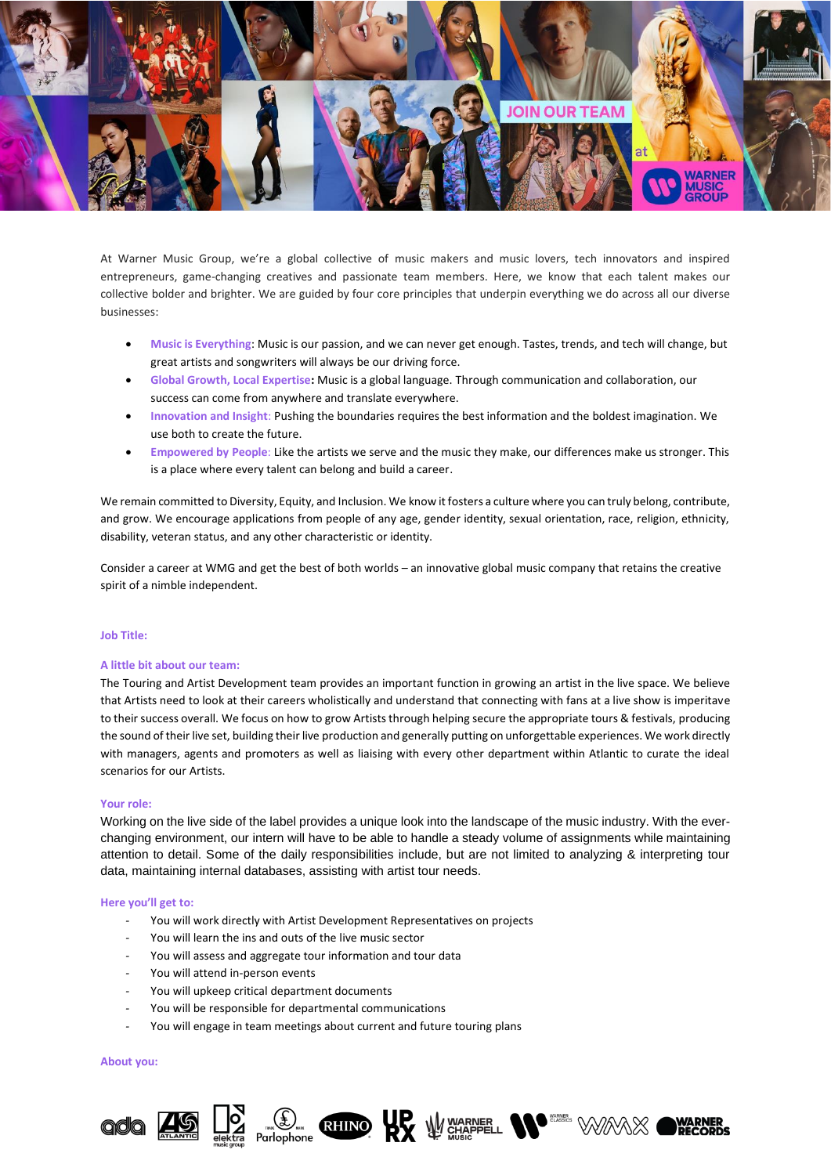

At Warner Music Group, we're a global collective of music makers and music lovers, tech innovators and inspired entrepreneurs, game-changing creatives and passionate team members. Here, we know that each talent makes our collective bolder and brighter. We are guided by four core principles that underpin everything we do across all our diverse businesses:

- **Music is Everything**: Music is our passion, and we can never get enough. Tastes, trends, and tech will change, but great artists and songwriters will always be our driving force.
- **Global Growth, Local Expertise:** Music is a global language. Through communication and collaboration, our success can come from anywhere and translate everywhere.
- **Innovation and Insight**: Pushing the boundaries requires the best information and the boldest imagination. We use both to create the future.
- **Empowered by People**: Like the artists we serve and the music they make, our differences make us stronger. This is a place where every talent can belong and build a career.

We remain committed to Diversity, Equity, and Inclusion. We know it fosters a culture where you can truly belong, contribute, and grow. We encourage applications from people of any age, gender identity, sexual orientation, race, religion, ethnicity, disability, veteran status, and any other characteristic or identity.

Consider a career at WMG and get the best of both worlds – an innovative global music company that retains the creative spirit of a nimble independent.

## **Job Title:**

### **A little bit about our team:**

The Touring and Artist Development team provides an important function in growing an artist in the live space. We believe that Artists need to look at their careers wholistically and understand that connecting with fans at a live show is imperitave to their success overall. We focus on how to grow Artists through helping secure the appropriate tours & festivals, producing the sound of their live set, building their live production and generally putting on unforgettable experiences. We work directly with managers, agents and promoters as well as liaising with every other department within Atlantic to curate the ideal scenarios for our Artists.

# **Your role:**

Working on the live side of the label provides a unique look into the landscape of the music industry. With the everchanging environment, our intern will have to be able to handle a steady volume of assignments while maintaining attention to detail. Some of the daily responsibilities include, but are not limited to analyzing & interpreting tour data, maintaining internal databases, assisting with artist tour needs.

### **Here you'll get to:**

- *-* You will work directly with Artist Development Representatives on projects
- *-* You will learn the ins and outs of the live music sector
- *-* You will assess and aggregate tour information and tour data
- You will attend in-person events
- *-* You will upkeep critical department documents
- *-* You will be responsible for departmental communications
- *-* You will engage in team meetings about current and future touring plans

#### **About you:**